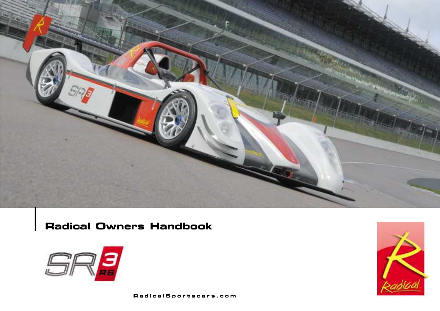

**Radical Owners Handbook**



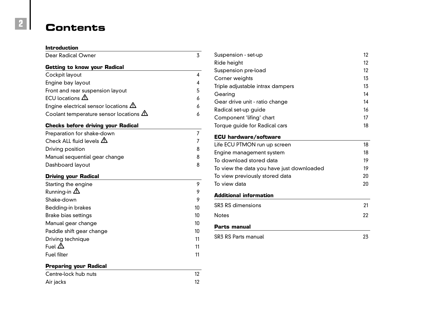## **Contents**

| <b>Introduction</b>                           |    |
|-----------------------------------------------|----|
| <b>Dear Radical Owner</b>                     | 3  |
| <b>Getting to know your Radical</b>           |    |
| Cockpit layout                                | 4  |
| Engine bay layout                             | 4  |
| Front and rear suspension layout              | 5  |
| ECU locations $\triangle$                     | 6  |
| Engine electrical sensor locations $\Delta$   | 6  |
| Coolant temperature sensor locations $\Delta$ | 6  |
| <b>Checks before driving your Radical</b>     |    |
| Preparation for shake-down                    | 7  |
| Check ALL fluid levels $\triangle$            | 7  |
| Driving position                              | 8  |
| Manual sequential gear change                 | 8  |
| Dashboard layout                              | 8  |
| <b>Driving your Radical</b>                   |    |
| Starting the engine                           | 9  |
| Running-in $\Delta$                           | 9  |
| Shake-down                                    | 9  |
| <b>Bedding-in brakes</b>                      | 10 |
| <b>Brake bias settings</b>                    | 10 |
| Manual gear change                            | 10 |
| Paddle shift gear change                      | 10 |
| Driving technique                             | 11 |
| Fuel $\triangle$                              | 11 |
| <b>Fuel filter</b>                            | 11 |
| <b>Preparing your Radical</b>                 |    |
| Centre-lock hub nuts                          | 12 |
| Air jacks                                     | 12 |

| Suspension - set-up              | 12 |
|----------------------------------|----|
| Ride height                      | 12 |
| Suspension pre-load              | 12 |
| Corner weights                   | 13 |
| Triple adjustable intrax dampers | 13 |
| Gearing                          | 14 |
| Gear drive unit - ratio change   | 14 |
| Radical set-up guide             | 16 |
| Component 'lifing' chart         | 17 |
| Torque guide for Radical cars    | 18 |
|                                  |    |

#### **ECU hardware/software**

| Life ECU PTMON run up screen              | 18 |
|-------------------------------------------|----|
| Engine management system                  | 18 |
| To download stored data                   | 19 |
| To view the data you have just downloaded | 19 |
| To view previously stored data            | 20 |
| To view data                              | ንበ |
|                                           |    |

#### **Additional information**

| <b>SR3 RS dimensions</b> | 21 |
|--------------------------|----|
| Notes                    | 22 |

#### **Parts manual**

| SR3 RS Parts manual |  |
|---------------------|--|
|                     |  |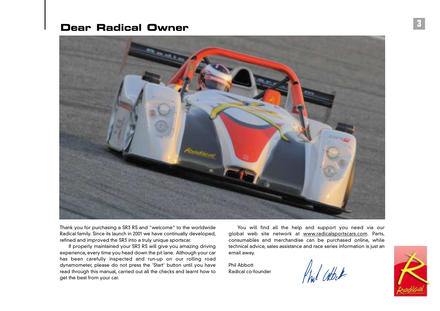### **Dear Radical Owner**



Thank you for purchasing a SR3 RS and "welcome" to the worldwide Radical family. Since its launch in 2001 we have continually developed, refined and improved the SR3 into a truly unique sportscar.

If properly maintained your SR3 RS will give you amazing driving experience, every time you head down the pit lane. Although your car has been carefully inspected and run-up on our rolling road dynamometer, please do not press the 'Start' button until you have read through this manual, carried out all the checks and learnt how to get the best from your car.

You will find all the help and support you need via our global web site network at www.radicalsportscars.com. Parts, consumables and merchandise can be purchased online, while technical advice, sales assistance and race series information is just an email away.

Phil Abbott Radical co-founder

Phil Cathet

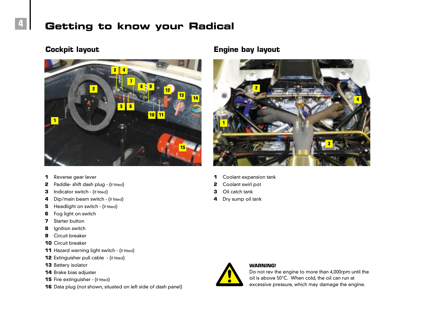## **Getting to know your Radical**



#### Reverse gear lever

- Paddle- shift dash plug (If fitted)
- Indicator switch (If fitted)
- Dip/main beam switch (If fitted)
- Headlight on switch (If fitted)
- Fog light on switch
- Starter button
- Ignition switch
- Circuit breaker
- Circuit breaker
- Hazard warning light switch (If fitted)
- Extinguisher pull cable (If fitted)
- Battery isolator
- Brake bias adjuster
- Fire extinguisher (If fitted)
- Data plug (not shown, situated on left side of dash panel)

#### **Cockpit layout Engine bay layout**



- Coolant expansion tank
- Coolant swirl pot
- Oil catch tank
- Dry sump oil tank



**WARNING!**

#### Do not rev the engine to more than 4,000rpm until the oil is above 50°C. When cold, the oil can run at excessive pressure, which may damage the engine.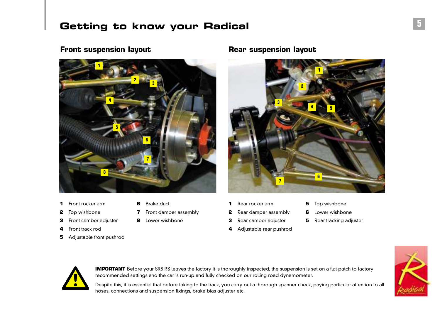## **Getting to know your Radical**

#### **Front suspension layout <b>Rear suspension layout**



- Front rocker arm **6** Brake duct
- 
- Front camber adjuster **8** Lower wishbone
- Front track rod
- Adjustable front pushrod
- 
- Top wishbone **7** Front damper assembly
	-
- - Adjustable rear pushrod
- Rear rocker arm **5** Top wishbone
- Rear damper assembly **6** Lower wishbone
	- Rear camber adjuster **5** Rear tracking adjuster



**IMPORTANT** Before your SR3 RS leaves the factory it is thoroughly inspected, the suspension is set on a flat patch to factory recommended settings and the car is run-up and fully checked on our rolling road dynamometer.

Despite this, it is essential that before taking to the track, you carry out a thorough spanner check, paying particular attention to all hoses, connections and suspension fixings, brake bias adjuster etc.

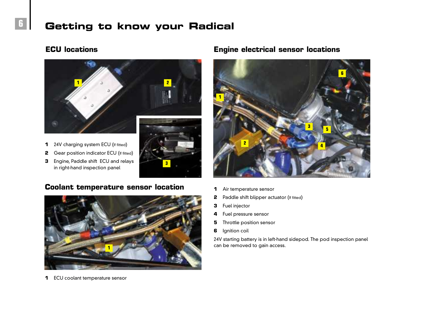## **Getting to know your Radical**

#### **ECU locations**



- 24V charging system ECU (If fitted)
- Gear position indicator ECU (If fitted)
- Engine, Paddle shift ECU and relays in right-hand inspection panel



#### **Coolant temperature sensor location**



ECU coolant temperature sensor

#### **Engine electrical sensor locations**



- Air temperature sensor
- Paddle shift blipper actuator (If fitted)
- Fuel injector
- Fuel pressure sensor
- Throttle position sensor
- Ignition coil

24V starting battery is in left-hand sidepod. The pod inspection panel can be removed to gain access.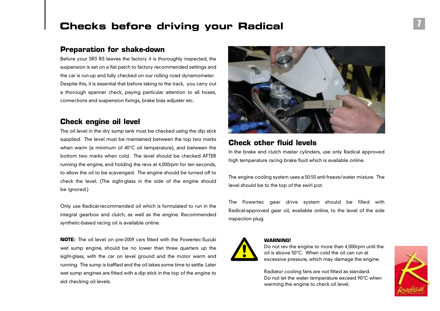## **Checks before driving your Radical**

#### **Preparation for shake-down**

Before your SR3 RS leaves the factory it is thoroughly inspected, the suspension is set on a flat patch to factory recommended settings and the car is run-up and fully checked on our rolling road dynamometer. Despite this, it is essential that before taking to the track, you carry out a thorough spanner check, paying particular attention to all hoses, connections and suspension fixings, brake bias adjuster etc.

#### **Check engine oil level**

The oil level in the dry sump tank must be checked using the dip stick supplied. The level must be maintained between the top two marks when warm (a minimum of 40°C oil temperature), and between the bottom two marks when cold. The level should be checked AFTER running the engine, and holding the revs at 4,000rpm for ten seconds, to allow the oil to be scavenged. The engine should be turned off to check the level. (The sight-glass in the side of the engine should be ignored.)

Only use Radical-recommended oil which is formulated to run in the integral gearbox and clutch, as well as the engine. Recommended synthetic-based racing oil is available online.

**NOTE:** The oil level on pre-2009 cars fitted with the Powertec-Suzuki wet sump engine, should be no lower than three quarters up the sight-glass, with the car on level ground and the motor warm and running. The sump is baffled and the oil takes some time to settle. Later wet sump engines are fitted with a dip stick in the top of the engine to aid checking oil levels.



#### **Check other fluid levels**

In the brake and clutch master cylinders, use only Radical approved high temperature racing brake fluid which is available online.

The engine cooling system uses a 50:50 anti-freeze/water mixture. The level should be to the top of the swirl pot.

The Powertec gear drive system should be filled with Radical-approved gear oil, available online, to the level of the side inspection plug.



#### **WARNING!**

Do not rev the engine to more than 4,000rpm until the oil is above 50°C. When cold the oil can run at excessive pressure, which may damage the engine.

Radiator cooling fans are not fitted as standard. Do not let the water temperature exceed 90°C when warming the engine to check oil level.

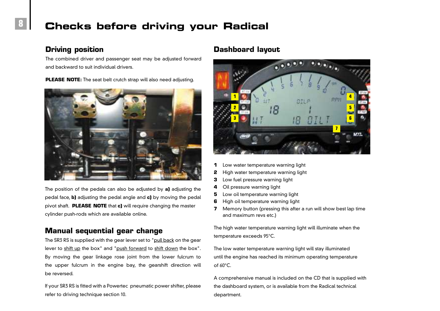## **Checks before driving your Radical**

#### **Driving position**

The combined driver and passenger seat may be adjusted forward and backward to suit individual drivers.

**PLEASE NOTE:** The seat belt crutch strap will also need adjusting.



The position of the pedals can also be adjusted by **a)** adjusting the pedal face, **b)** adjusting the pedal angle and **c)** by moving the pedal pivot shaft. **PLEASE NOTE** that **c)** will require changing the master cylinder push-rods which are available online.

#### **Manual sequential gear change**

The SR3 RS is supplied with the gear lever set to "pull back on the gear lever to shift up the box" and "push forward to shift down the box". By moving the gear linkage rose joint from the lower fulcrum to the upper fulcrum in the engine bay, the gearshift direction will be reversed.

If your SR3 RS is fitted with a Powertec pneumatic power shifter, please refer to driving technique section 10.

#### **Dashboard layout**



- **1** Low water temperature warning light
- **2** High water temperature warning light
- **3** Low fuel pressure warning light
- **4** Oil pressure warning light
- **5** Low oil temperature warning light
- **6** High oil temperature warning light
- **7** Memory button (pressing this after a run will show best lap time and maximum revs etc.)

The high water temperature warning light will illuminate when the temperature exceeds 95°C.

The low water temperature warning light will stay illuminated until the engine has reached its minimum operating temperature of 60°C.

A comprehensive manual is included on the CD that is supplied with the dashboard system, or is available from the Radical technical department.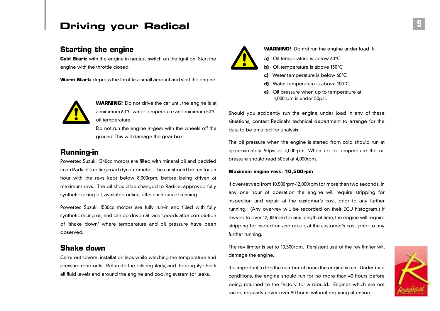## **Driving your Radical**

#### **Starting the engine**

**Cold Start:** with the engine in neutral, switch on the ignition. Start the engine with the throttle closed.

**Warm Start:** depress the throttle a small amount and start the engine.



**WARNING!** Do not drive the car until the engine is at a minimum 60°C water temperature and minimum 50°C oil temperature.

Do not run the engine in-gear with the wheels off the ground. This will damage the gear box.

#### **Running-in**

Powertec Suzuki 1340cc motors are filled with mineral oil and bedded in on Radical's rolling-road dynamometer. The car should be run for an hour with the revs kept below 8,000rpm, before being driven at maximum revs. The oil should be changed to Radical-approved fully synthetic racing oil, available online, after six hours of running.

Powertec Suzuki 1500cc motors are fully run-in and filled with fully synthetic racing oil, and can be driven at race speeds after completion of 'shake down' where temperature and oil pressure have been observed.

#### **Shake down**

Carry out several installation laps while watching the temperature and pressure read-outs. Return to the pits regularly, and thoroughly check all fluid levels and around the engine and cooling system for leaks.



**WARNING!** Do not run the engine under load if:-

- **a)** Oil temperature is below 60°C
- **b)** Oil temperature is above 130°C
- **c)** Water temperature is below 60°C
- **d)** Water temperature is above 100°C
- **e)** Oil pressure when up to temperature at 4,000rpm is under 50psi.

Should you accidently run the engine under load in any of these situations, contact Radical's technical department to arrange for the data to be emailed for analysis.

The oil pressure when the engine is started from cold should run at approximately 90psi at 4,000rpm. When up to temperature the oil pressure should read 60psi at 4,000rpm.

#### **Maximum engine revs: 10,500rpm**

If over-revved from 10,500rpm-12,000rpm for more than two seconds, in any one hour of operation the engine will require stripping for inspection and repair, at the customer's cost, prior to any further running. (Any over-rev will be recorded on their ECU histogram.) If revved to over 12,000rpm for any length of time, the engine will require stripping for inspection and repair, at the customer's cost, prior to any further running.

The rev limiter is set to 10,500rpm. Persistent use of the rev limiter will damage the engine.

It is important to log the number of hours the engine is run. Under race conditions, the engine should run for no more than 40 hours before being returned to the factory for a rebuild. Engines which are not raced, regularly cover over 90 hours without requiring attention.

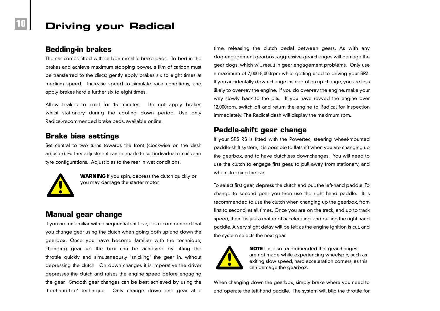## **Driving your Radical**

#### **Bedding-in brakes**

The car comes fitted with carbon metallic brake pads. To bed in the brakes and achieve maximum stopping power, a film of carbon must be transferred to the discs; gently apply brakes six to eight times at medium speed. Increase speed to simulate race conditions, and apply brakes hard a further six to eight times.

Allow brakes to cool for 15 minutes. Do not apply brakes whilst stationary during the cooling down period. Use only Radical-recommended brake pads, available online.

#### **Brake bias settings**

Set central to two turns towards the front (clockwise on the dash adjuster). Further adjustment can be made to suit individual circuits and tyre configurations. Adjust bias to the rear in wet conditions.



**WARNING** If you spin, depress the clutch quickly or you may damage the starter motor.

#### **Manual gear change**

If you are unfamiliar with a sequential shift car, it is recommended that you change gear using the clutch when going both up and down the gearbox. Once you have become familiar with the technique, changing gear up the box can be achieved by lifting the throttle quickly and simultaneously 'snicking' the gear in, without depressing the clutch. On down changes it is imperative the driver depresses the clutch and raises the engine speed before engaging the gear. Smooth gear changes can be best achieved by using the 'heel-and-toe' technique. Only change down one gear at a

time, releasing the clutch pedal between gears. As with any dog-engagement gearbox, aggressive gearchanges will damage the gear dogs, which will result in gear engagement problems. Only use a maximum of 7,000-8,000rpm while getting used to driving your SR3. If you accidentally down-change instead of an up-change, you are less likely to over-rev the engine. If you do over-rev the engine, make your way slowly back to the pits. If you have revved the engine over 12,000rpm, switch off and return the engine to Radical for inspection immediately. The Radical dash will display the maximum rpm.

#### **Paddle-shift gear change**

If your SR3 RS is fitted with the Powertec, steering wheel-mounted paddle-shift system, it is possible to flatshift when you are changing up the gearbox, and to have clutchless downchanges. You will need to use the clutch to engage first gear, to pull away from stationary, and when stopping the car.

To select first gear, depress the clutch and pull the left-hand paddle. To change to second gear you then use the right hand paddle. It is recommended to use the clutch when changing up the gearbox, from first to second, at all times. Once you are on the track, and up to track speed, then it is just a matter of accelerating, and pulling the right hand paddle. A very slight delay will be felt as the engine ignition is cut, and the system selects the next gear.



**NOTE** It is also recommended that gearchanges are not made while experiencing wheelspin, such as exiting slow speed, hard acceleration corners, as this can damage the gearbox.

When changing down the gearbox, simply brake where you need to and operate the left-hand paddle. The system will blip the throttle for

**10**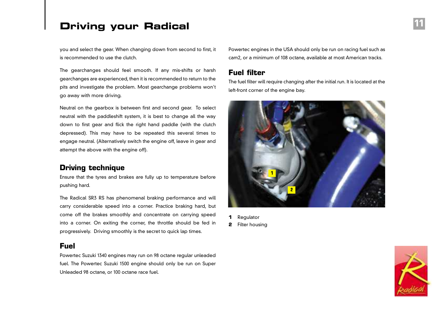## **Driving your Radical**

you and select the gear. When changing down from second to first, it is recommended to use the clutch.

The gearchanges should feel smooth. If any mis-shifts or harsh gearchanges are experienced, then it is recommended to return to the pits and investigate the problem. Most gearchange problems won't go away with more driving.

Neutral on the gearbox is between first and second gear. To select neutral with the paddleshift system, it is best to change all the way down to first gear and flick the right hand paddle (with the clutch depressed). This may have to be repeated this several times to engage neutral. (Alternatively switch the engine off, leave in gear and attempt the above with the engine off).

#### **Driving technique**

Ensure that the tyres and brakes are fully up to temperature before pushing hard.

The Radical SR3 RS has phenomenal braking performance and will carry considerable speed into a corner. Practice braking hard, but come off the brakes smoothly and concentrate on carrying speed into a corner. On exiting the corner, the throttle should be fed in progressively. Driving smoothly is the secret to quick lap times.

#### **Fuel**

Powertec Suzuki 1340 engines may run on 98 octane regular unleaded fuel. The Powertec Suzuki 1500 engine should only be run on Super Unleaded 98 octane, or 100 octane race fuel.

Powertec engines in the USA should only be run on racing fuel such as cam2, or a minimum of 108 octane, available at most American tracks.

#### **Fuel filter**

The fuel filter will require changing after the initial run. It is located at the left-front corner of the engine bay.



- **1** Regulator
- **2** Filter housing

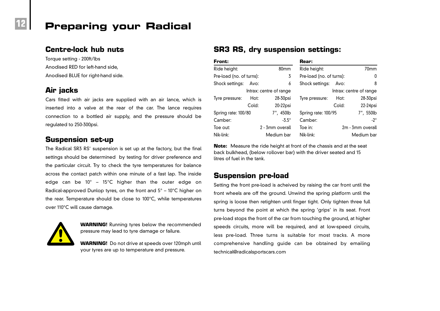#### **Centre-lock hub nuts**

Torque setting - 200ft/lbs Anodised RED for left-hand side, Anodised BLUE for right-hand side.

#### **Air jacks**

Cars fitted with air jacks are supplied with an air lance, which is inserted into a valve at the rear of the car. The lance requires connection to a bottled air supply, and the pressure should be regulated to 250-300psi.

#### **Suspension set-up**

The Radical SR3 RS' suspension is set up at the factory, but the final settings should be determined by testing for driver preference and the particular circuit. Try to check the tyre temperatures for balance across the contact patch within one minute of a fast lap. The inside edge can be  $10^{\circ}$  – 15°C higher than the outer edge on Radical-approved Dunlop tyres, on the front and  $5^{\circ}$  – 10 $^{\circ}$ C higher on the rear. Temperature should be close to 100°C, while temperatures over 110°C will cause damage.



**WARNING!** Running tyres below the recommended pressure may lead to tyre damage or failure.

**WARNING!** Do not drive at speeds over 120mph until your tyres are up to temperature and pressure.

### **SR3 RS, dry suspension settings:**

| Front:                           |       |                         | Rear:                    |       |                         |
|----------------------------------|-------|-------------------------|--------------------------|-------|-------------------------|
| Ride height:<br>80 <sub>mm</sub> |       |                         | Ride height:             | 70mm  |                         |
| Pre-load (no. of turns):         |       | 3                       | Pre-load (no. of turns): |       | 0                       |
| Shock settings:                  | Avo:  | 6                       | Shock settings:          | 8     |                         |
|                                  |       | Intrax: centre of range |                          |       | Intrax: centre of range |
| Tyre pressure:                   | Hot:  | $28-30$ psi             | Tyre pressure:           | Hot:  | 28-30psi                |
|                                  | Cold: | $20-22$ psi             |                          | Cold: | $22-24$ psi             |
| Spring rate: 100/80              |       | 7", 450lb               | Spring rate: 100/95      |       | 7", 550lb               |
| Camber:                          |       | $-5.5^\circ$            | Camber:                  |       | -2 $^{\circ}$           |
| Toe out:                         |       | 2 - 3mm overall         | Toe in:                  |       | 2m - 3mm overall        |
| Nik-link:                        |       | Medium bar              | Nik-link:                |       | Medium bar              |

**Note:** Measure the ride height at front of the chassis and at the seat back bulkhead, (below rollover bar) with the driver seated and 15 litres of fuel in the tank.

#### **Suspension pre-load**

Setting the front pre-load is acheived by raising the car front until the front wheels are off the ground. Unwind the spring platform until the spring is loose then retighten until finger tight. Only tighten three full turns beyond the point at which the spring 'grips' in its seat. Front pre-load stops the front of the car from touching the ground, at higher speeds circuits, more will be required, and at low-speed circuits, less pre-load. Three turns is suitable for most tracks. A more comprehensive handling guide can be obtained by emailing technical@radicalsportscars.com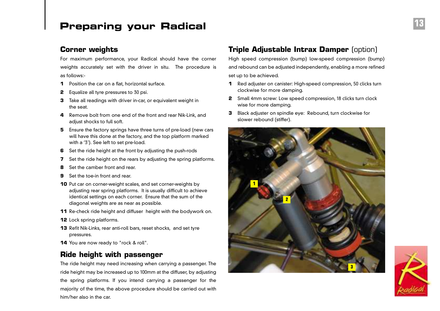#### **Corner weights**

For maximum performance, your Radical should have the corner weights accurately set with the driver in situ. The procedure is as follows:-

- **1** Position the car on a flat, horizontal surface.
- **2** Equalize all tyre pressures to 30 psi.
- **3** Take all readings with driver in-car, or equivalent weight in the seat.
- **4** Remove bolt from one end of the front and rear Nik-Link, and adjust shocks to full soft.
- **5** Ensure the factory springs have three turns of pre-load (new cars will have this done at the factory, and the top platform marked with a '3'). See left to set pre-load.
- **6** Set the ride height at the front by adjusting the push-rods
- **7** Set the ride height on the rears by adjusting the spring platforms.
- **8** Set the camber front and rear.
- **9** Set the toe-in front and rear.
- **10** Put car on corner-weight scales, and set corner-weights by adjusting rear spring platforms. It is usually difficult to achieve identical settings on each corner. Ensure that the sum of the diagonal weights are as near as possible.
- **11** Re-check ride height and diffuser height with the bodywork on.
- **12** Lock spring platforms.
- **13** Refit Nik-Links, rear anti-roll bars, reset shocks, and set tyre pressures.
- **14** You are now ready to "rock & roll".

#### **Ride height with passenger**

The ride height may need increasing when carrying a passenger. The ride height may be increased up to 100mm at the diffuser, by adjusting the spring platforms. If you intend carrying a passenger for the majority of the time, the above procedure should be carried out with him/her also in the car.

#### **Triple Adjustable Intrax Damper (option)**

High speed compression (bump) low-speed compression (bump) and rebound can be adjusted independently, enabling a more refined set up to be achieved.

- **1** Red adjuster on canister: High-speed compression, 50 clicks turn clockwise for more damping.
- **2** Small 4mm screw: Low speed compression, 18 clicks turn clock wise for more damping.
- **3** Black adjuster on spindle eye: Rebound, turn clockwise for slower rebound (stiffer).



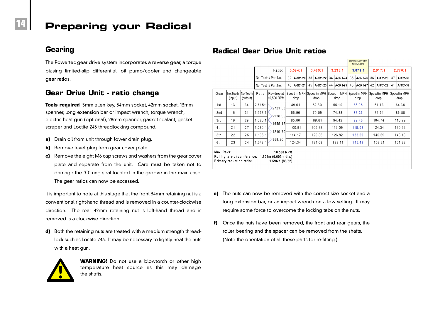#### **Gearing**

The Powertec gear drive system incorporates a reverse gear, a torque biasing limited-slip differential, oil pump/cooler and changeable gear ratios.

#### **Gear Drive Unit - ratio change**

**Tools required** 5mm allen key, 34mm socket, 42mm socket, 13mm spanner, long extension bar or impact wrench, torque wrench, electric heat gun (optional), 28mm spanner, gasket sealant, gasket scraper and Loctite 243 threadlocking compound.

- **a)** Drain oil from unit through lower drain plug.
- **b)** Remove level plug from gear cover plate.
- **c)** Remove the eight M6 cap screws and washers from the gear cover plate and separate from the unit. Care must be taken not to damage the 'O'-ring seal located in the groove in the main case. The gear ratios can now be accessed.

It is important to note at this stage that the front 34mm retaining nut is a conventional right-hand thread and is removed in a counter-clockwise direction. The rear 42mm retaining nut is left-hand thread and is removed is a clockwise direction.

**d)** Both the retaining nuts are treated with a medium strength threadlock such as Loctite 243. It may be necessary to lightly heat the nuts with a heat gun.



**WARNING!** Do not use a blowtorch or other high temperature heat source as this may damage the shafts.

#### **Radical Gear Drive Unit ratios**

|                                                                                                                               |                     |                      |         |                             |  |                |  |                                                                          |    |          |    | Standard factory-fited<br>ratio (UK cars) |    |          |          |                      |          |          |          |
|-------------------------------------------------------------------------------------------------------------------------------|---------------------|----------------------|---------|-----------------------------|--|----------------|--|--------------------------------------------------------------------------|----|----------|----|-------------------------------------------|----|----------|----------|----------------------|----------|----------|----------|
|                                                                                                                               |                     |                      |         | Ratio:                      |  | 3.594:1        |  | 3.409:1                                                                  |    | 3.235:1  |    | 3.071:1                                   |    | 2.917:1  |          | 2.770:1              |          |          |          |
|                                                                                                                               |                     |                      |         | No. Teeth / Part No.:       |  | 32<br>A-3R1-20 |  | 33<br>A-3R1-22                                                           |    |          |    | 34<br>A-3R1-24                            |    | 35       | A-3R1-26 | 36                   | A-3R1-28 | 37       | A-3R1-36 |
|                                                                                                                               |                     |                      |         | No. Teeth / Part No.:       |  |                |  | A-3R1-21                                                                 | 45 | A-3R1-23 | 44 | A-3R1-25                                  | 43 | A-3R1-27 | 42       | A-3R1-29             | 41       | A-3R1-37 |          |
| Gear                                                                                                                          | No.Teeth<br>(input) | No.Teeth<br>(output) | Ratio   | Rev drop at  <br>10,500 RPM |  | drop           |  | Speed in MPH Speed in MPH Speed in MPH Speed in MPH Speed in MPH<br>drop |    | drop     |    | drop                                      |    | drop     |          | Speed in MPH<br>drop |          |          |          |
| 1st                                                                                                                           | 13                  | 34                   | 2.615:1 | 2721.50                     |  | 49.61          |  | 52.30                                                                    |    | 55.10    |    | 58.05                                     |    | 61.13    |          | 64.36                |          |          |          |
| 2nd                                                                                                                           | 16                  | 31                   | 1.938:1 |                             |  | 66.96          |  | 70.59                                                                    |    | 74.38    |    | 78.36                                     |    | 82.51    |          | 86.88                |          |          |          |
| 3rd                                                                                                                           | 19                  | 29                   | 1.526:1 | 2228.35<br>1655.17          |  | 85.00          |  | 89.61                                                                    |    | 94.42    |    | 99.46                                     |    | 104.74   |          | 110.29               |          |          |          |
| 4 th                                                                                                                          | 21                  | 27                   | 1.286:1 |                             |  | 100.91         |  | 106.38                                                                   |    | 112.09   |    | 118.08                                    |    | 124.34   |          | 130.92               |          |          |          |
| 5th                                                                                                                           | 22                  | 25                   | 1.136:1 | 1219.70                     |  | 114.17         |  | 120.36                                                                   |    | 126.82   |    | 133.60                                    |    | 140.69   |          | 148.13               |          |          |          |
| 6th                                                                                                                           | 23                  | 24                   | 1.043:1 | 858.26                      |  | 124.34         |  | 131.08                                                                   |    | 138.11   |    | 145.49                                    |    | 153.21   |          | 161.32               |          |          |          |
| Max. Revs:<br>10,500 RPM<br>Rolling tyre circumference:<br>1.901m (0.605m dia.)<br>Primary reduction ratio:<br>1.596:1(83/52) |                     |                      |         |                             |  |                |  |                                                                          |    |          |    |                                           |    |          |          |                      |          |          |          |

- **e)** The nuts can now be removed with the correct size socket and a long extension bar, or an impact wrench on a low setting. It may require some force to overcome the locking tabs on the nuts.
- **f)** Once the nuts have been removed, the front and rear gears, the roller bearing and the spacer can be removed from the shafts. (Note the orientation of all these parts for re-fitting.)

**14**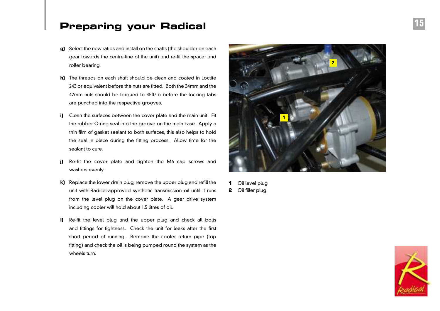- **g)** Select the new ratios and install on the shafts (the shoulder on each gear towards the centre-line of the unit) and re-fit the spacer and roller bearing.
- **h)** The threads on each shaft should be clean and coated in Loctite 243 or equivalent before the nuts are fitted. Both the 34mm and the 42mm nuts should be torqued to 45ft/lb before the locking tabs are punched into the respective grooves.
- **i)** Clean the surfaces between the cover plate and the main unit. Fit the rubber O-ring seal into the groove on the main case. Apply a thin film of gasket sealant to both surfaces, this also helps to hold the seal in place during the fitting process. Allow time for the sealant to cure.
- **j)** Re-fit the cover plate and tighten the M6 cap screws and washers evenly.
- **k)** Replace the lower drain plug, remove the upper plug and refill the unit with Radical-approved synthetic transmission oil until it runs from the level plug on the cover plate. A gear drive system including cooler will hold about 1.5 litres of oil.
- **l)** Re-fit the level plug and the upper plug and check all bolts and fittings for tightness. Check the unit for leaks after the first short period of running. Remove the cooler return pipe (top fitting) and check the oil is being pumped round the system as the wheels turn.



**1** Oil level plug **2** Oil filler plug

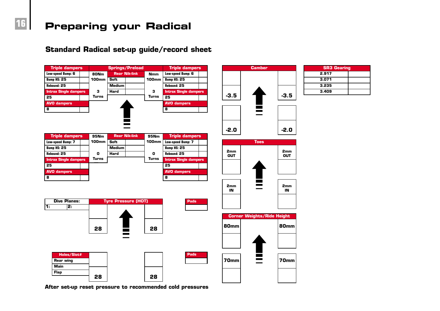

**Standard Radical set-up guide/record sheet**

**After set-up reset pressure to recommended cold pressures**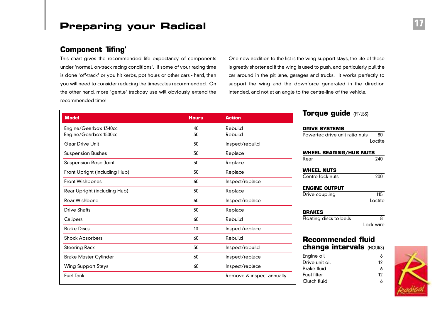#### **Component 'lifing'**

This chart gives the recommended life expectancy of components under 'normal, on-track racing conditions'. If some of your racing time is done 'off-track' or you hit kerbs, pot holes or other cars - hard, then you will need to consider reducing the timescales recommended. On the other hand, more 'gentle' trackday use will obviously extend the recommended time!

One new addition to the list is the wing support stays, the life of these is greatly shortened if the wing is used to push, and particularly pull the car around in the pit lane, garages and trucks. It works perfectly to support the wing and the downforce generated in the direction intended, and not at an angle to the centre-line of the vehicle.

| <b>Model</b>                  | <b>Hours</b> | <b>Action</b>             |
|-------------------------------|--------------|---------------------------|
| Engine/Gearbox 1340cc         | 40           | Rebuild                   |
| Engine/Gearbox 1500cc         | 30           | Rebuild                   |
| <b>Gear Drive Unit</b>        | 50           | Inspect/rebuild           |
| <b>Suspension Bushes</b>      | 30           | Replace                   |
| <b>Suspension Rose Joint</b>  | 30           | Replace                   |
| Front Upright (including Hub) | 50           | Replace                   |
| <b>Front Wishbones</b>        | 60           | Inspect/replace           |
| Rear Upright (including Hub)  | 50           | Replace                   |
| Rear Wishbone                 | 60           | Inspect/replace           |
| <b>Drive Shafts</b>           | 30           | Replace                   |
| Calipers                      | 60           | Rebuild                   |
| <b>Brake Discs</b>            | 10           | Inspect/replace           |
| <b>Shock Absorbers</b>        | 60           | Rebuild                   |
| <b>Steering Rack</b>          | 50           | Inspect/rebuild           |
| <b>Brake Master Cylinder</b>  | 60           | Inspect/replace           |
| <b>Wing Support Stays</b>     | 60           | Inspect/replace           |
| <b>Fuel Tank</b>              |              | Remove & inspect annually |

#### **Torque guide** (FT/LBS)

#### **DRIVE SYSTEMS** Powertec drive unit ratio nuts 80 Loctite **WHEEL BEARING/HUB NUTS** Rear 240 **WHEEL NUTS** Centre lock nuts 200 **ENGINE OUTPUT** Drive coupling 115 Loctite **BRAKES** Floating discs to bells 8 Lock wire **Recommended fluid**

## **change intervals** (HOURS)

| Engine oil     | 6  |
|----------------|----|
| Drive unit oil | 12 |
| Brake fluid    | 6  |
| Fuel filter    | 12 |
| Clutch fluid   | 6  |

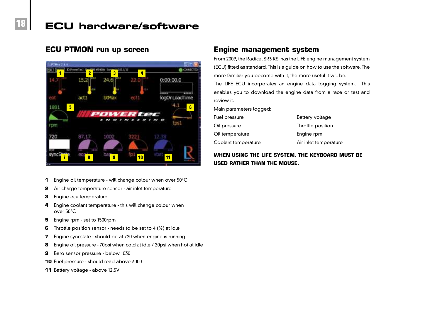## **ECU hardware/software**

#### **ECU PTMON run up screen**

**18**



- **1** Engine oil temperature will change colour when over 50°C
- **2** Air charge temperature sensor air inlet temperature
- **3** Engine ecu temperature
- **4** Engine coolant temperature this will change colour when over 50°C
- **5** Engine rpm set to 1500rpm
- **6** Throttle position sensor needs to be set to 4 (%) at idle
- **7** Engine syncstate should be at 720 when engine is running
- **8** Engine oil pressure 70psi when cold at idle / 20psi when hot at idle
- **9** Baro sensor pressure below 1030
- **10** Fuel pressure should read above 3000
- **11** Battery voltage above 12.5V

#### **Engine management system**

From 2009, the Radical SR3 RS has the LIFE engine management system (ECU) fitted as standard. This is a guide on how to use the software. The more familiar you become with it, the more useful it will be. The LIFE ECU incorporates an engine data logging system. This enables you to download the engine data from a race or test and review it.

Main parameters logged:

| Fuel pressure       | Battery voltage       |
|---------------------|-----------------------|
| Oil pressure        | Throttle position     |
| Oil temperature     | Engine rpm            |
| Coolant temperature | Air inlet temperature |

#### **WHEN USING THE LIFE SYSTEM, THE KEYBOARD MUST BE USED RATHER THAN THE MOUSE.**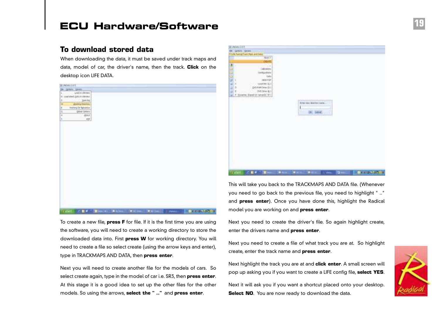## **ECU Hardware/Software 19**

#### **To download stored data**

When downloading the data, it must be saved under track maps and data, model of car, the driver's name, then the track. **Click** on the desktop icon LIFE DATA.





This will take you back to the TRACKMAPS AND DATA file. (Whenever you need to go back to the previous file, you need to highlight " .." and **press enter**). Once you have done this, highlight the Radical model you are working on and **press enter**.

To create a new file, **press F** for file. If it is the first time you are using the software, you will need to create a working directory to store the downloaded data into. First **press W** for working directory. You will need to create a file so select create (using the arrow keys and enter), type in TRACKMAPS AND DATA, then **press enter**.

Next you will need to create another file for the models of cars. So select create again, type in the model of car i.e. SR3, then **press enter**. At this stage it is a good idea to set up the other files for the other models. So using the arrows, **select the " .."** and **press enter**.

Next you need to create the driver's file. So again highlight create, enter the drivers name and **press enter**.

Next you need to create a file of what track you are at. So highlight create, enter the track name and **press enter**.

Next highlight the track you are at and **click enter**. A small screen will pop up asking you if you want to create a LIFE config file, **select YES**.

Next it will ask you if you want a shortcut placed onto your desktop. **Select NO.** You are now ready to download the data.

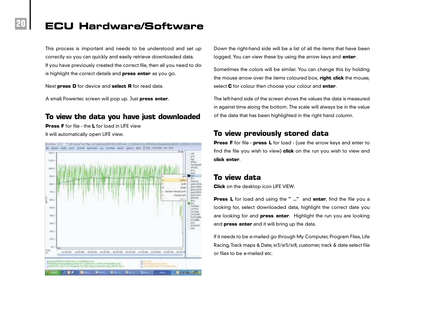## **ECU Hardware/Software**

This process is important and needs to be understood and set up correctly so you can quickly and easily retrieve downloaded data. If you have previously created the correct file, then all you need to do is highlight the correct details and **press enter** as you go.

Next **press D** for device and **select R** for read data.

A small Powertec screen will pop up. Just **press enter**.

#### **To view the data you have just downloaded**

**Press F** for file - the **L** for load in LIFE view It will automatically open LIFE view.

**20**



Down the right-hand side will be a list of all the items that have been logged. You can view these by using the arrow keys and **enter**.

Sometimes the colors will be similar. You can change this by holding the mouse arrow over the items coloured box, **right click** the mouse, select **C** for colour then choose your colour and **enter**.

The left-hand side of the screen shows the values the data is measured in against time along the bottom. The scale will always be in the value of the data that has been highlighted in the right hand column.

#### **To view previously stored data**

**Press F** for file - **press L** for load - (use the arrow keys and enter to find the file you wish to view) **click** on the run you wish to view and **click enter**.

#### **To view data**

**Click** on the desktop icon LIFE VIEW.

**Press L** for load and using the **" .."** and **enter**, find the file you a looking for, select downloaded data, highlight the correct date you are looking for and **press enter**. Highlight the run you are looking and **press enter** and it will bring up the data.

If it needs to be e-mailed go through My Computer, Program Files, Life Racing, Track maps & Date, sr3/sr5/sr8, customer, track & date select file or files to be e-mailed etc.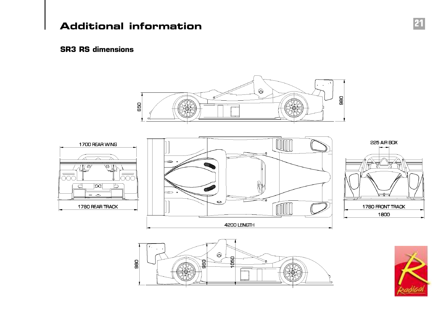## **Additional information 21**

#### **SR3 RS dimensions**

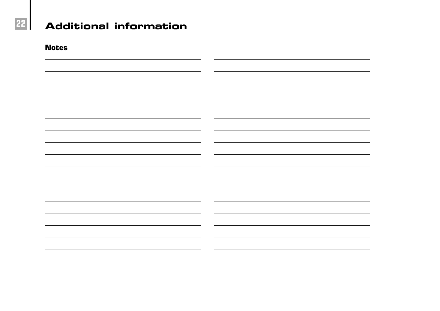

# **22 Additional information**

**Notes**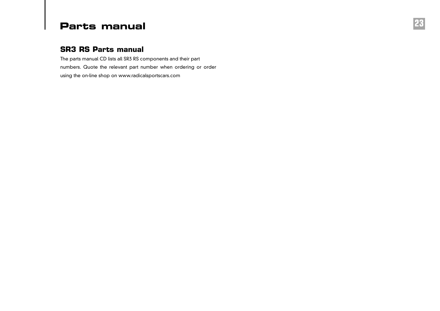## **Parts manual 23**

### **SR3 RS Parts manual**

The parts manual CD lists all SR3 RS components and their part numbers. Quote the relevant part number when ordering or order using the on-line shop on www.radicalsportscars.com